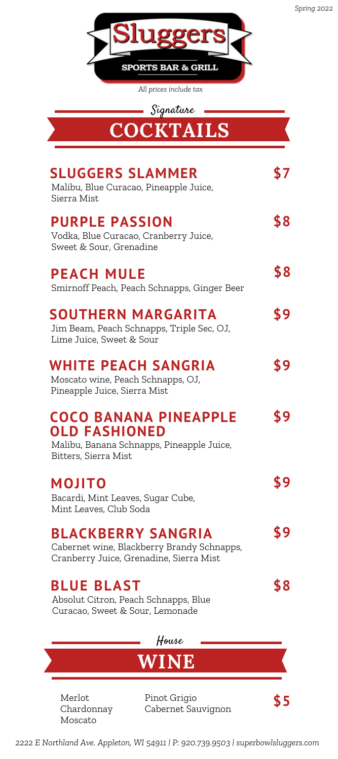

*All prices include tax*

| $Signature =$    |
|------------------|
| <b>COCKTAILS</b> |

| <b>SLUGGERS SLAMMER</b><br>Malibu, Blue Curacao, Pineapple Juice,<br>Sierra Mist                                          | \$7 |
|---------------------------------------------------------------------------------------------------------------------------|-----|
| <b>PURPLE PASSION</b><br>Vodka, Blue Curacao, Cranberry Juice,<br>Sweet & Sour, Grenadine                                 | \$8 |
| <b>PEACH MULE</b><br>Smirnoff Peach, Peach Schnapps, Ginger Beer                                                          | \$8 |
| <b>SOUTHERN MARGARITA</b><br>Jim Beam, Peach Schnapps, Triple Sec, OJ,<br>Lime Juice, Sweet & Sour                        | \$9 |
| <b>WHITE PEACH SANGRIA</b><br>Moscato wine, Peach Schnapps, OJ,<br>Pineapple Juice, Sierra Mist                           | \$9 |
| <b>COCO BANANA PINEAPPLE</b><br><b>OLD FASHIONED</b><br>Malibu, Banana Schnapps, Pineapple Juice,<br>Bitters, Sierra Mist | \$9 |
| <b>MOJITO</b><br>Bacardi, Mint Leaves, Sugar Cube,<br>Mint Leaves, Club Soda                                              | \$9 |
| <b>BLACKBERRY SANGRIA</b><br>Cabernet wine, Blackberry Brandy Schnapps,<br>Cranberry Juice, Grenadine, Sierra Mist        | \$9 |
| <b>BLUE BLAST</b><br>Absolut Citron, Peach Schnapps, Blue<br>Curacao, Sweet & Sour, Lemonade                              | \$8 |
| House                                                                                                                     |     |
| WINE                                                                                                                      |     |

Merlot Chardonnay Moscato

Pinot Grigio Cabernet Sauvignon